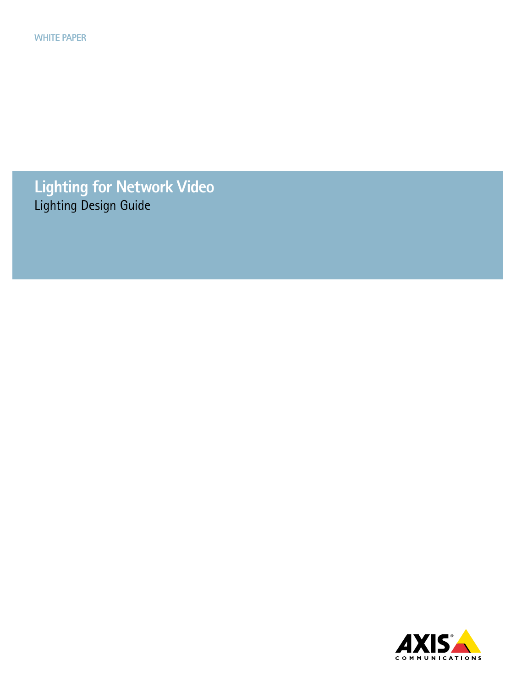**Lighting for Network Video** Lighting Design Guide

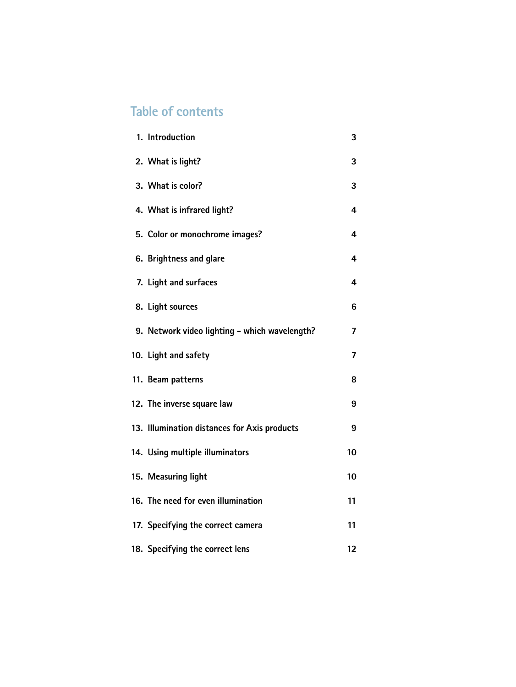# **Table of contents**

| 1. Introduction                               | 3  |
|-----------------------------------------------|----|
| 2. What is light?                             | 3  |
| 3. What is color?                             | 3  |
| 4. What is infrared light?                    | 4  |
| 5. Color or monochrome images?                | 4  |
| 6. Brightness and glare                       | 4  |
| 7. Light and surfaces                         | 4  |
| 8. Light sources                              | 6  |
| 9. Network video lighting - which wavelength? | 7  |
| 10. Light and safety                          | 7  |
| 11. Beam patterns                             | 8  |
| 12. The inverse square law                    | 9  |
| 13. Illumination distances for Axis products  | 9  |
| 14. Using multiple illuminators               | 10 |
| 15. Measuring light                           | 10 |
| 16. The need for even illumination            | 11 |
| 17. Specifying the correct camera             | 11 |
| 18. Specifying the correct lens               | 12 |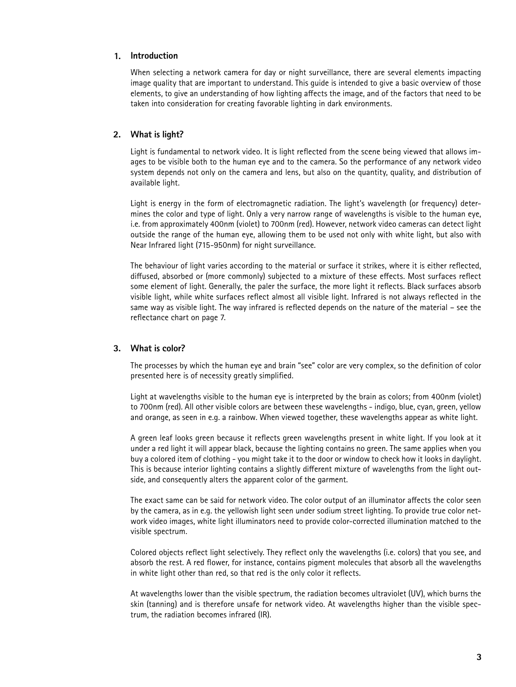#### **Introduction 1.**

When selecting a network camera for day or night surveillance, there are several elements impacting image quality that are important to understand. This guide is intended to give a basic overview of those elements, to give an understanding of how lighting affects the image, and of the factors that need to be taken into consideration for creating favorable lighting in dark environments.

#### **What is light? 2.**

Light is fundamental to network video. It is light reflected from the scene being viewed that allows images to be visible both to the human eye and to the camera. So the performance of any network video system depends not only on the camera and lens, but also on the quantity, quality, and distribution of available light.

Light is energy in the form of electromagnetic radiation. The light's wavelength (or frequency) determines the color and type of light. Only a very narrow range of wavelengths is visible to the human eye, i.e. from approximately 400nm (violet) to 700nm (red). However, network video cameras can detect light outside the range of the human eye, allowing them to be used not only with white light, but also with Near Infrared light (715-950nm) for night surveillance.

The behaviour of light varies according to the material or surface it strikes, where it is either reflected, diffused, absorbed or (more commonly) subjected to a mixture of these effects. Most surfaces reflect some element of light. Generally, the paler the surface, the more light it reflects. Black surfaces absorb visible light, while white surfaces reflect almost all visible light. Infrared is not always reflected in the same way as visible light. The way infrared is reflected depends on the nature of the material – see the reflectance chart on page 7.

#### **What is color? 3.**

The processes by which the human eye and brain "see" color are very complex, so the definition of color presented here is of necessity greatly simplified.

Light at wavelengths visible to the human eye is interpreted by the brain as colors; from 400nm (violet) to 700nm (red). All other visible colors are between these wavelengths - indigo, blue, cyan, green, yellow and orange, as seen in e.g. a rainbow. When viewed together, these wavelengths appear as white light.

A green leaf looks green because it reflects green wavelengths present in white light. If you look at it under a red light it will appear black, because the lighting contains no green. The same applies when you buy a colored item of clothing - you might take it to the door or window to check how it looks in daylight. This is because interior lighting contains a slightly different mixture of wavelengths from the light outside, and consequently alters the apparent color of the garment.

The exact same can be said for network video. The color output of an illuminator affects the color seen by the camera, as in e.g. the yellowish light seen under sodium street lighting. To provide true color network video images, white light illuminators need to provide color-corrected illumination matched to the visible spectrum.

Colored objects reflect light selectively. They reflect only the wavelengths (i.e. colors) that you see, and absorb the rest. A red flower, for instance, contains pigment molecules that absorb all the wavelengths in white light other than red, so that red is the only color it reflects.

At wavelengths lower than the visible spectrum, the radiation becomes ultraviolet (UV), which burns the skin (tanning) and is therefore unsafe for network video. At wavelengths higher than the visible spectrum, the radiation becomes infrared (IR).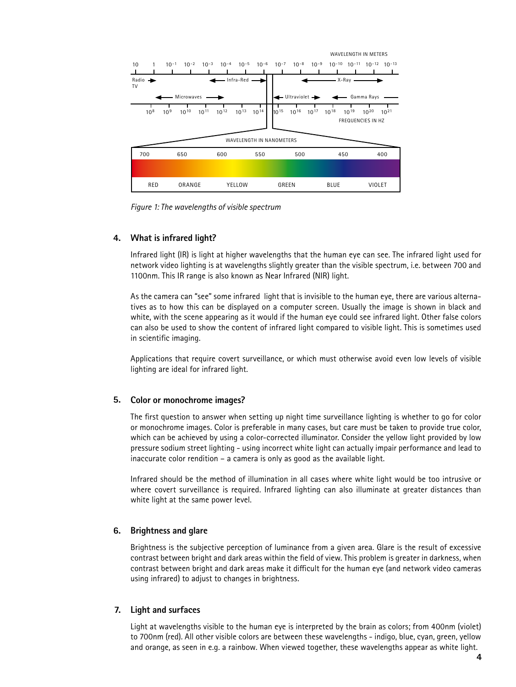

*Figure 1: The wavelengths of visible spectrum*

### **What is infrared light? 4.**

Infrared light (IR) is light at higher wavelengths that the human eye can see. The infrared light used for network video lighting is at wavelengths slightly greater than the visible spectrum, i.e. between 700 and 1100nm. This IR range is also known as Near Infrared (NIR) light.

As the camera can "see" some infrared light that is invisible to the human eye, there are various alternatives as to how this can be displayed on a computer screen. Usually the image is shown in black and white, with the scene appearing as it would if the human eye could see infrared light. Other false colors can also be used to show the content of infrared light compared to visible light. This is sometimes used in scientific imaging.

Applications that require covert surveillance, or which must otherwise avoid even low levels of visible lighting are ideal for infrared light.

#### **Color or monochrome images? 5.**

The first question to answer when setting up night time surveillance lighting is whether to go for color or monochrome images. Color is preferable in many cases, but care must be taken to provide true color, which can be achieved by using a color-corrected illuminator. Consider the yellow light provided by low pressure sodium street lighting - using incorrect white light can actually impair performance and lead to inaccurate color rendition – a camera is only as good as the available light.

Infrared should be the method of illumination in all cases where white light would be too intrusive or where covert surveillance is required. Infrared lighting can also illuminate at greater distances than white light at the same power level.

#### **Brightness and glare 6.**

Brightness is the subjective perception of luminance from a given area. Glare is the result of excessive contrast between bright and dark areas within the field of view. This problem is greater in darkness, when contrast between bright and dark areas make it difficult for the human eye (and network video cameras using infrared) to adjust to changes in brightness.

#### **Light and surfaces 7.**

Light at wavelengths visible to the human eye is interpreted by the brain as colors; from 400nm (violet) to 700nm (red). All other visible colors are between these wavelengths - indigo, blue, cyan, green, yellow and orange, as seen in e.g. a rainbow. When viewed together, these wavelengths appear as white light.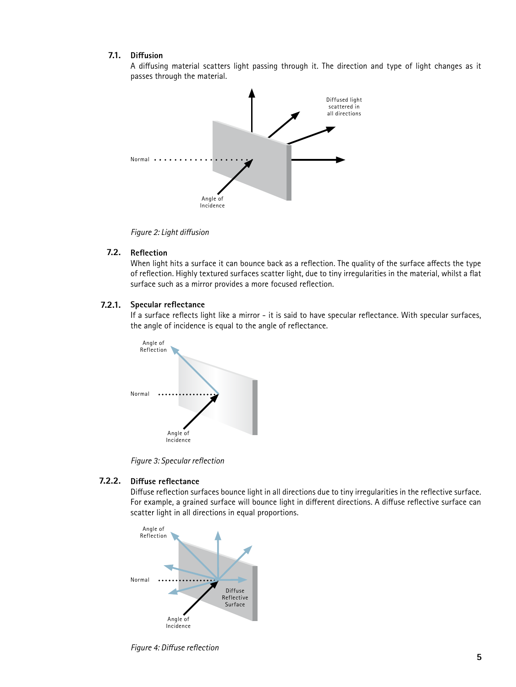#### **Diffusion 7.1.**

A diffusing material scatters light passing through it. The direction and type of light changes as it passes through the material.



*Figure 2: Light diffusion*

#### **Reflection 7.2.**

When light hits a surface it can bounce back as a reflection. The quality of the surface affects the type of reflection. Highly textured surfaces scatter light, due to tiny irregularities in the material, whilst a flat surface such as a mirror provides a more focused reflection.

#### **Specular reflectance 7.2.1.**

If a surface reflects light like a mirror - it is said to have specular reflectance. With specular surfaces, the angle of incidence is equal to the angle of reflectance.



*Figure 3: Specular reflection*

#### **Diffuse reflectance 7.2.2.**

Diffuse reflection surfaces bounce light in all directions due to tiny irregularities in the reflective surface. For example, a grained surface will bounce light in different directions. A diffuse reflective surface can scatter light in all directions in equal proportions.



*Figure 4: Diffuse reflection*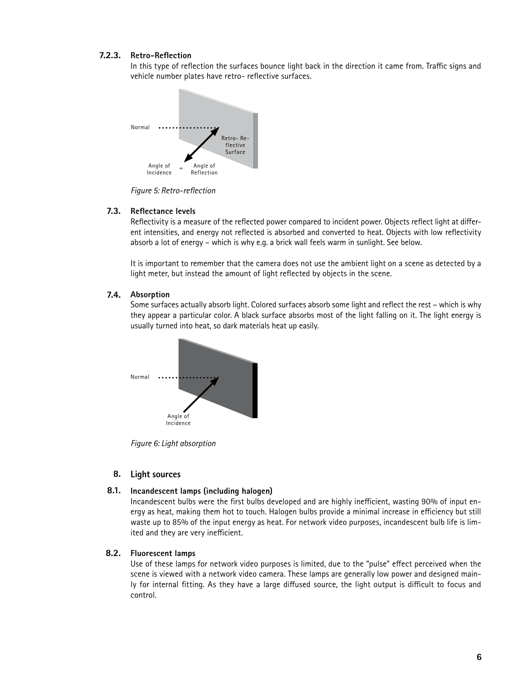### **Retro-Reflection 7.2.3.**

In this type of reflection the surfaces bounce light back in the direction it came from. Traffic signs and vehicle number plates have retro- reflective surfaces.



*Figure 5: Retro-reflection*

#### **Reflectance levels 7.3.**

Reflectivity is a measure of the reflected power compared to incident power. Objects reflect light at different intensities, and energy not reflected is absorbed and converted to heat. Objects with low reflectivity absorb a lot of energy – which is why e.g. a brick wall feels warm in sunlight. See below.

It is important to remember that the camera does not use the ambient light on a scene as detected by a light meter, but instead the amount of light reflected by objects in the scene.

#### **Absorption 7.4.**

Some surfaces actually absorb light. Colored surfaces absorb some light and reflect the rest – which is why they appear a particular color. A black surface absorbs most of the light falling on it. The light energy is usually turned into heat, so dark materials heat up easily.



*Figure 6: Light absorption*

### **Light sources 8.**

#### **Incandescent lamps (including halogen) 8.1.**

Incandescent bulbs were the first bulbs developed and are highly inefficient, wasting 90% of input energy as heat, making them hot to touch. Halogen bulbs provide a minimal increase in efficiency but still waste up to 85% of the input energy as heat. For network video purposes, incandescent bulb life is limited and they are very inefficient.

#### **Fluorescent lamps 8.2.**

Use of these lamps for network video purposes is limited, due to the "pulse" effect perceived when the scene is viewed with a network video camera. These lamps are generally low power and designed mainly for internal fitting. As they have a large diffused source, the light output is difficult to focus and control.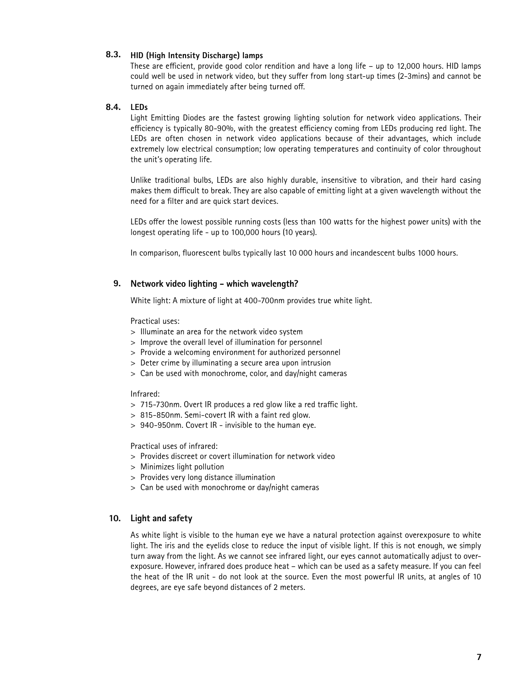### **HID (High Intensity Discharge) lamps 8.3.**

These are efficient, provide good color rendition and have a long life – up to 12,000 hours. HID lamps could well be used in network video, but they suffer from long start-up times (2-3mins) and cannot be turned on again immediately after being turned off.

#### **LEDs 8.4.**

Light Emitting Diodes are the fastest growing lighting solution for network video applications. Their efficiency is typically 80-90%, with the greatest efficiency coming from LEDs producing red light. The LEDs are often chosen in network video applications because of their advantages, which include extremely low electrical consumption; low operating temperatures and continuity of color throughout the unit's operating life.

Unlike traditional bulbs, LEDs are also highly durable, insensitive to vibration, and their hard casing makes them difficult to break. They are also capable of emitting light at a given wavelength without the need for a filter and are quick start devices.

LEDs offer the lowest possible running costs (less than 100 watts for the highest power units) with the longest operating life - up to 100,000 hours (10 years).

In comparison, fluorescent bulbs typically last 10 000 hours and incandescent bulbs 1000 hours.

### **Network video lighting - which wavelength? 9.**

White light: A mixture of light at 400-700nm provides true white light.

Practical uses:

- > Illuminate an area for the network video system
- > Improve the overall level of illumination for personnel
- > Provide a welcoming environment for authorized personnel
- > Deter crime by illuminating a secure area upon intrusion
- > Can be used with monochrome, color, and day/night cameras

#### Infrared:

- > 715-730nm. Overt IR produces a red glow like a red traffic light.
- > 815-850nm. Semi-covert IR with a faint red glow.
- > 940-950nm. Covert IR invisible to the human eye.

Practical uses of infrared:

- > Provides discreet or covert illumination for network video
- > Minimizes light pollution
- > Provides very long distance illumination
- > Can be used with monochrome or day/night cameras

#### **Light and safety 10.**

As white light is visible to the human eye we have a natural protection against overexposure to white light. The iris and the eyelids close to reduce the input of visible light. If this is not enough, we simply turn away from the light. As we cannot see infrared light, our eyes cannot automatically adjust to overexposure. However, infrared does produce heat – which can be used as a safety measure. If you can feel the heat of the IR unit - do not look at the source. Even the most powerful IR units, at angles of 10 degrees, are eye safe beyond distances of 2 meters.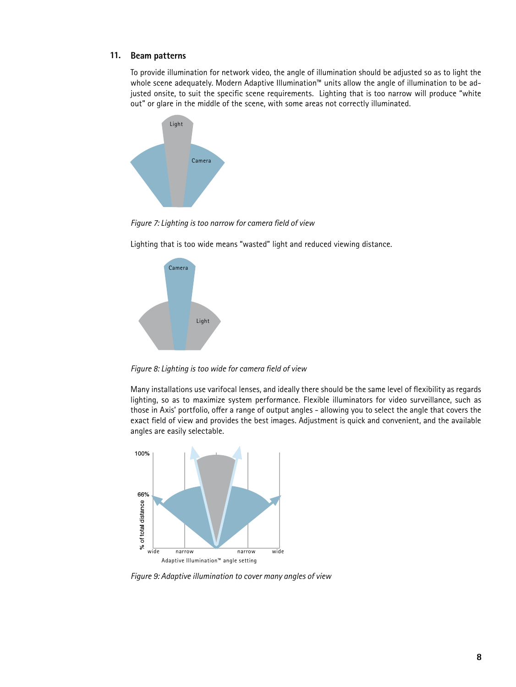### **Beam patterns 11.**

To provide illumination for network video, the angle of illumination should be adjusted so as to light the whole scene adequately. Modern Adaptive Illumination™ units allow the angle of illumination to be adjusted onsite, to suit the specific scene requirements. Lighting that is too narrow will produce "white out" or glare in the middle of the scene, with some areas not correctly illuminated.



*Figure 7: Lighting is too narrow for camera field of view*

Lighting that is too wide means "wasted" light and reduced viewing distance.



*Figure 8: Lighting is too wide for camera field of view*

Many installations use varifocal lenses, and ideally there should be the same level of flexibility as regards lighting, so as to maximize system performance. Flexible illuminators for video surveillance, such as those in Axis' portfolio, offer a range of output angles - allowing you to select the angle that covers the exact field of view and provides the best images. Adjustment is quick and convenient, and the available angles are easily selectable.



*Figure 9: Adaptive illumination to cover many angles of view*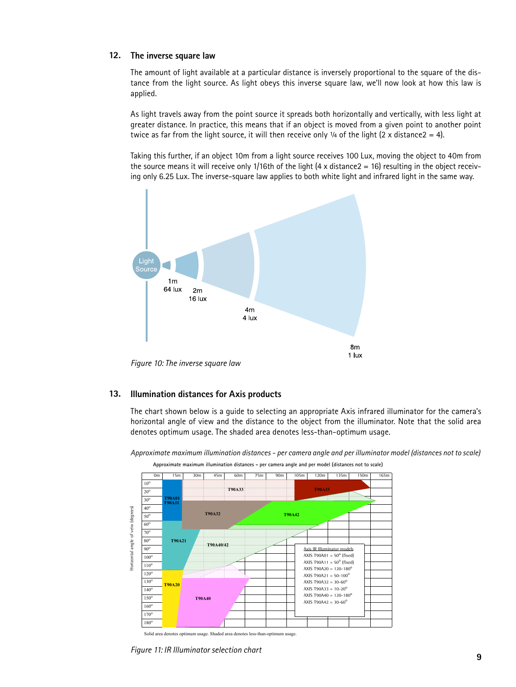### **The inverse square law 12.**

The amount of light available at a particular distance is inversely proportional to the square of the distance from the light source. As light obeys this inverse square law, we'll now look at how this law is applied.

As light travels away from the point source it spreads both horizontally and vertically, with less light at greater distance. In practice, this means that if an object is moved from a given point to another point twice as far from the light source, it will then receive only  $\frac{1}{4}$  of the light (2 x distance2 = 4).

Taking this further, if an object 10m from a light source receives 100 Lux, moving the object to 40m from the source means it will receive only 1/16th of the light  $(4 \times \text{distance2} = 16)$  resulting in the object receiving only 6.25 Lux. The inverse-square law applies to both white light and infrared light in the same way.



#### **Illumination distances for Axis products 13.**

The chart shown below is a guide to selecting an appropriate Axis infrared illuminator for the camera's horizontal angle of view and the distance to the object from the illuminator. Note that the solid area denotes optimum usage. The shaded area denotes less-than-optimum usage.

0m | 15m | 30m | 45m | 60m | 75m | 90m | 105m | 120m | 135m | 150m | 165m  $10<sup>°</sup>$  $20^{\circ}$ **T90A33 T90A33**  $30<sup>°</sup>$ **T90A01 T90A11**  $40<sup>°</sup>$ lorizontal angle of veiw (degrees) Horizontal angle of veiw (degrees)**T90A32 T90A42** 50o 60o 70o  $80<sup>°</sup>$ **T90A21 T90A40/42** 90o Axis IR III AXIS T90A01 =  $50^{\circ}$  (fixed) 100o AXIS T90A11 =  $50^{\circ}$  (fixed)  $110<sup>6</sup>$ AXIS T90A20 =  $120 - 180^{\circ}$  $120^\circ$ AXIS T90A21 =  $50 - 100^{\circ}$  $130<sup>c</sup>$ AXIS T90A32 =  $30 - 60^0$ **T90A20** AXIS T90A33 =  $10-20^{\circ}$  $140^{\circ}$ AXIS T90A40 =  $120 - 180^0$ 150o **T90A40** AXIS T90A42 =  $30 - 60^{\circ}$ 160o 170 180<sup>o</sup>

*Approximate maximum illumination distances - per camera angle and per illuminator model (distances not to scale)*

**Approximate maximum illumination distances - per camera angle and per model (distances not to scale)**

*Figure 11: IR Illuminator selection chart*

Solid area denotes optimum usage. Shaded area denotes less-than-optimum usage.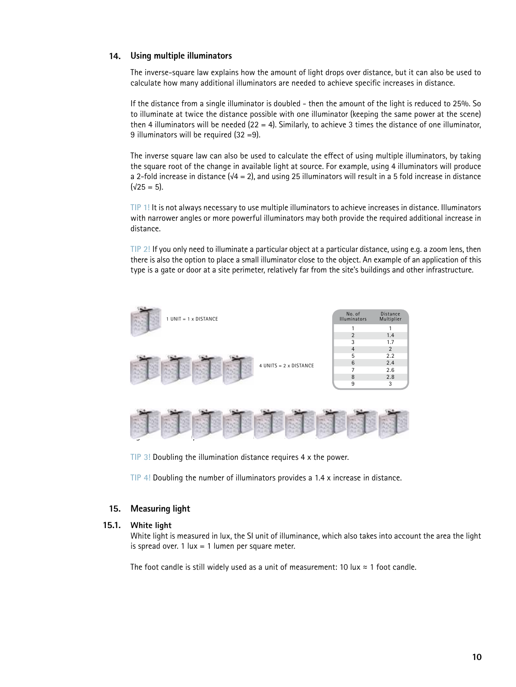### **Using multiple illuminators 14.**

The inverse-square law explains how the amount of light drops over distance, but it can also be used to calculate how many additional illuminators are needed to achieve specific increases in distance.

If the distance from a single illuminator is doubled - then the amount of the light is reduced to 25%. So to illuminate at twice the distance possible with one illuminator (keeping the same power at the scene) then 4 illuminators will be needed  $(22 = 4)$ . Similarly, to achieve 3 times the distance of one illuminator, 9 illuminators will be required (32 =9).

The inverse square law can also be used to calculate the effect of using multiple illuminators, by taking the square root of the change in available light at source. For example, using 4 illuminators will produce a 2-fold increase in distance ( $\sqrt{4}$  = 2), and using 25 illuminators will result in a 5 fold increase in distance  $(\sqrt{25} = 5)$ .

**TIP 1!** It is not always necessary to use multiple illuminators to achieve increases in distance. Illuminators with narrower angles or more powerful illuminators may both provide the required additional increase in distance.

**TIP 2!** If you only need to illuminate a particular object at a particular distance, using e.g. a zoom lens, then there is also the option to place a small illuminator close to the object. An example of an application of this type is a gate or door at a site perimeter, relatively far from the site's buildings and other infrastructure.



**TIP 3!** Doubling the illumination distance requires 4 x the power.

**TIP 4!** Doubling the number of illuminators provides a 1.4 x increase in distance.

#### **Measuring light 15.**

#### **White light 15.1.**

White light is measured in lux, the SI unit of illuminance, which also takes into account the area the light is spread over.  $1 \text{ lux} = 1 \text{ lumen per square meter.}$ 

The foot candle is still widely used as a unit of measurement: 10 lux  $\approx$  1 foot candle.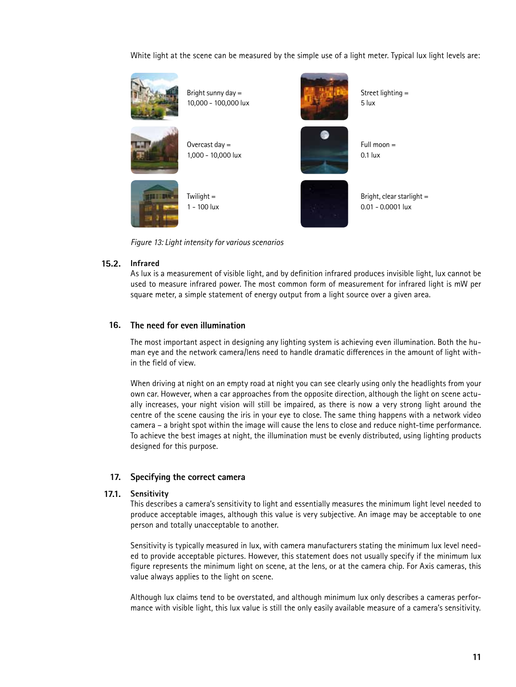White light at the scene can be measured by the simple use of a light meter. Typical lux light levels are:



*Figure 13: Light intensity for various scenarios*

#### **Infrared 15.2.**

As lux is a measurement of visible light, and by definition infrared produces invisible light, lux cannot be used to measure infrared power. The most common form of measurement for infrared light is mW per square meter, a simple statement of energy output from a light source over a given area.

#### **The need for even illumination 16.**

The most important aspect in designing any lighting system is achieving even illumination. Both the human eye and the network camera/lens need to handle dramatic differences in the amount of light within the field of view.

When driving at night on an empty road at night you can see clearly using only the headlights from your own car. However, when a car approaches from the opposite direction, although the light on scene actually increases, your night vision will still be impaired, as there is now a very strong light around the centre of the scene causing the iris in your eye to close. The same thing happens with a network video camera – a bright spot within the image will cause the lens to close and reduce night-time performance. To achieve the best images at night, the illumination must be evenly distributed, using lighting products designed for this purpose.

### **Specifying the correct camera 17.**

#### **Sensitivity 17.1.**

This describes a camera's sensitivity to light and essentially measures the minimum light level needed to produce acceptable images, although this value is very subjective. An image may be acceptable to one person and totally unacceptable to another.

Sensitivity is typically measured in lux, with camera manufacturers stating the minimum lux level needed to provide acceptable pictures. However, this statement does not usually specify if the minimum lux figure represents the minimum light on scene, at the lens, or at the camera chip. For Axis cameras, this value always applies to the light on scene.

Although lux claims tend to be overstated, and although minimum lux only describes a cameras performance with visible light, this lux value is still the only easily available measure of a camera's sensitivity.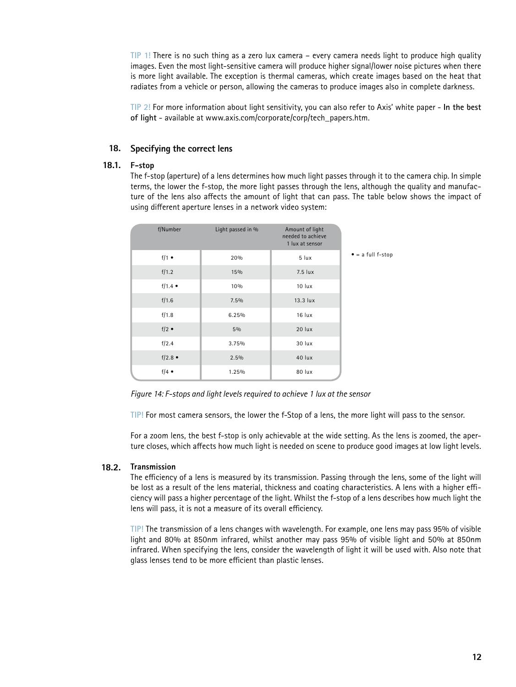**TIP 1!** There is no such thing as a zero lux camera – every camera needs light to produce high quality images. Even the most light-sensitive camera will produce higher signal/lower noise pictures when there is more light available. The exception is thermal cameras, which create images based on the heat that radiates from a vehicle or person, allowing the cameras to produce images also in complete darkness.

**TIP 2!** For more information about light sensitivity, you can also refer to Axis' white paper - **In the best of light** - available at www.axis.com/corporate/corp/tech\_papers.htm.

### **Specifying the correct lens 18.**

#### **F-stop 18.1.**

The f-stop (aperture) of a lens determines how much light passes through it to the camera chip. In simple terms, the lower the f-stop, the more light passes through the lens, although the quality and manufacture of the lens also affects the amount of light that can pass. The table below shows the impact of using different aperture lenses in a network video system:

| f/Number        | Light passed in % | Amount of light<br>needed to achieve<br>1 lux at sensor |                           |
|-----------------|-------------------|---------------------------------------------------------|---------------------------|
| $f/1$ $\bullet$ | 20%               | 5 lux                                                   | $\bullet$ = a full f-stop |
| f/1.2           | 15%               | 7.5 lux                                                 |                           |
| $f/1.4$ •       | 10%               | 10 lux                                                  |                           |
| f/1.6           | 7.5%              | 13.3 lux                                                |                           |
| f/1.8           | 6.25%             | 16 lux                                                  |                           |
| $f/2$ $\bullet$ | 5%                | 20 lux                                                  |                           |
| f/2.4           | 3.75%             | 30 lux                                                  |                           |
| $f/2.8$ •       | 2.5%              | 40 lux                                                  |                           |
| $f/4$ $\bullet$ | 1.25%             | 80 lux                                                  |                           |

*Figure 14: F-stops and light levels required to achieve 1 lux at the sensor*

**TIP!** For most camera sensors, the lower the f-Stop of a lens, the more light will pass to the sensor.

For a zoom lens, the best f-stop is only achievable at the wide setting. As the lens is zoomed, the aperture closes, which affects how much light is needed on scene to produce good images at low light levels.

#### **Transmission 18.2.**

The efficiency of a lens is measured by its transmission. Passing through the lens, some of the light will be lost as a result of the lens material, thickness and coating characteristics. A lens with a higher efficiency will pass a higher percentage of the light. Whilst the f-stop of a lens describes how much light the lens will pass, it is not a measure of its overall efficiency.

**TIP!** The transmission of a lens changes with wavelength. For example, one lens may pass 95% of visible light and 80% at 850nm infrared, whilst another may pass 95% of visible light and 50% at 850nm infrared. When specifying the lens, consider the wavelength of light it will be used with. Also note that glass lenses tend to be more efficient than plastic lenses.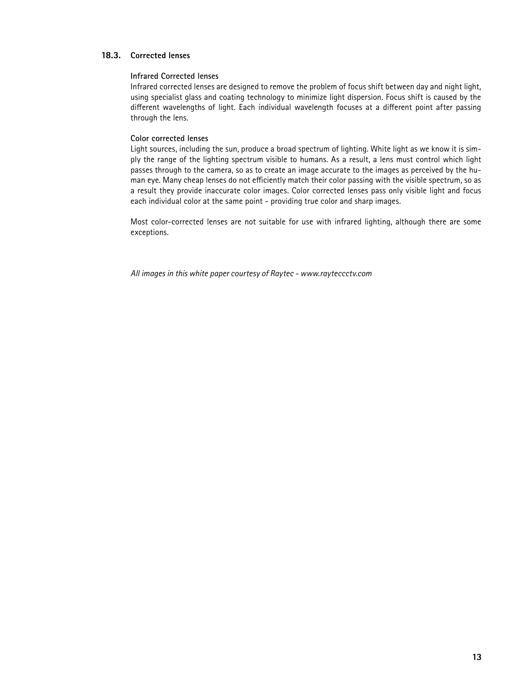### **Corrected lenses 18.3.**

#### **Infrared Corrected lenses**

Infrared corrected lenses are designed to remove the problem of focus shift between day and night light, using specialist glass and coating technology to minimize light dispersion. Focus shift is caused by the different wavelengths of light. Each individual wavelength focuses at a different point after passing through the lens.

#### **Color corrected lenses**

Light sources, including the sun, produce a broad spectrum of lighting. White light as we know it is simply the range of the lighting spectrum visible to humans. As a result, a lens must control which light passes through to the camera, so as to create an image accurate to the images as perceived by the human eye. Many cheap lenses do not efficiently match their color passing with the visible spectrum, so as a result they provide inaccurate color images. Color corrected lenses pass only visible light and focus each individual color at the same point - providing true color and sharp images.

Most color-corrected lenses are not suitable for use with infrared lighting, although there are some exceptions.

*All images in this white paper courtesy of Raytec - www.rayteccctv.com*